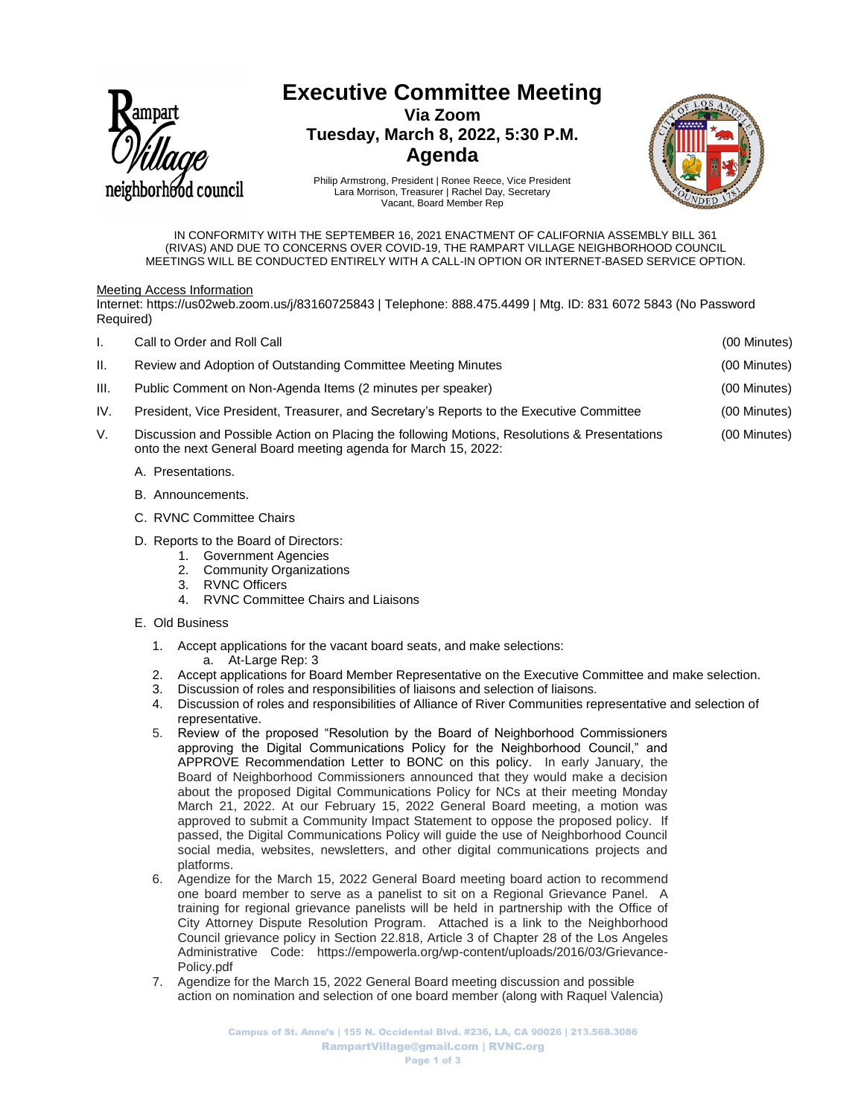

# **Executive Committee Meeting**

**Via Zoom Tuesday, March 8, 2022, 5:30 P.M. Agenda**



Philip Armstrong, President | Ronee Reece, Vice President Lara Morrison, Treasurer | Rachel Day, Secretary Vacant, Board Member Rep

IN CONFORMITY WITH THE SEPTEMBER 16, 2021 ENACTMENT OF CALIFORNIA ASSEMBLY BILL 361 (RIVAS) AND DUE TO CONCERNS OVER COVID-19, THE RAMPART VILLAGE NEIGHBORHOOD COUNCIL MEETINGS WILL BE CONDUCTED ENTIRELY WITH A CALL-IN OPTION OR INTERNET-BASED SERVICE OPTION.

## Meeting Access Information

Internet: https://us02web.zoom.us/j/83160725843 | Telephone: 888.475.4499 | Mtg. ID: 831 6072 5843 (No Password Required)

| ı.   | Call to Order and Roll Call                                                                                                                                    | (00 Minutes) |
|------|----------------------------------------------------------------------------------------------------------------------------------------------------------------|--------------|
| Н.   | Review and Adoption of Outstanding Committee Meeting Minutes                                                                                                   | (00 Minutes) |
| III. | Public Comment on Non-Agenda Items (2 minutes per speaker)                                                                                                     | (00 Minutes) |
| IV.  | President, Vice President, Treasurer, and Secretary's Reports to the Executive Committee                                                                       | (00 Minutes) |
| V.   | Discussion and Possible Action on Placing the following Motions, Resolutions & Presentations<br>onto the next General Board meeting agenda for March 15, 2022: | (00 Minutes) |
|      | A. Presentations.                                                                                                                                              |              |

- B. Announcements.
- C. RVNC Committee Chairs
- D. Reports to the Board of Directors:
	- 1. Government Agencies
	- 2. Community Organizations
	- 3. RVNC Officers
	- 4. RVNC Committee Chairs and Liaisons

## E. Old Business

- 1. Accept applications for the vacant board seats, and make selections: a. At-Large Rep: 3
- 2. Accept applications for Board Member Representative on the Executive Committee and make selection.
- 3. Discussion of roles and responsibilities of liaisons and selection of liaisons.
- 4. Discussion of roles and responsibilities of Alliance of River Communities representative and selection of representative.
- 5. Review of the proposed "Resolution by the Board of Neighborhood Commissioners approving the Digital Communications Policy for the Neighborhood Council," and APPROVE Recommendation Letter to BONC on this policy. In early January, the Board of Neighborhood Commissioners announced that they would make a decision about the proposed Digital Communications Policy for NCs at their meeting Monday March 21, 2022. At our February 15, 2022 General Board meeting, a motion was approved to submit a Community Impact Statement to oppose the proposed policy. If passed, the Digital Communications Policy will guide the use of Neighborhood Council social media, websites, newsletters, and other digital communications projects and platforms.
- 6. Agendize for the March 15, 2022 General Board meeting board action to recommend one board member to serve as a panelist to sit on a Regional Grievance Panel. A training for regional grievance panelists will be held in partnership with the Office of City Attorney Dispute Resolution Program. Attached is a link to the Neighborhood Council grievance policy in Section 22.818, Article 3 of Chapter 28 of the Los Angeles Administrative Code: https://empowerla.org/wp-content/uploads/2016/03/Grievance-Policy.pdf
- 7. Agendize for the March 15, 2022 General Board meeting discussion and possible action on nomination and selection of one board member (along with Raquel Valencia)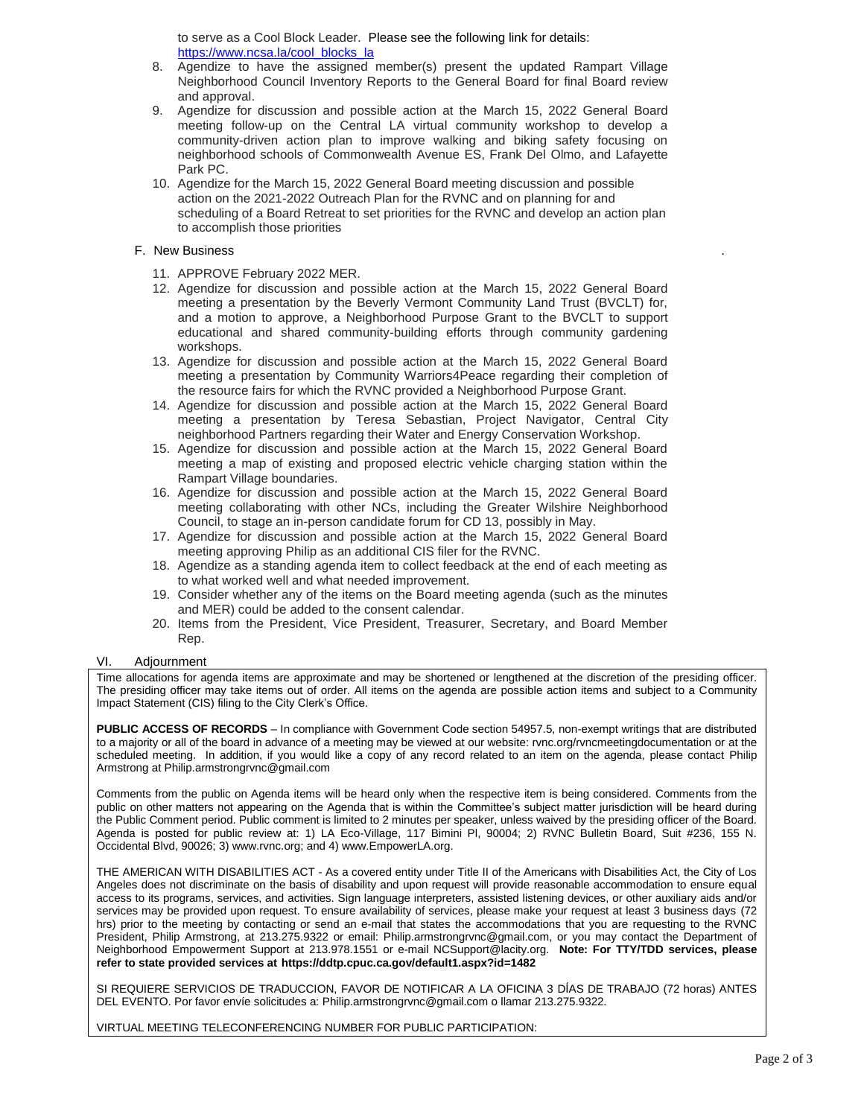to serve as a Cool Block Leader. Please see the following link for details: [https://www.ncsa.la/cool\\_blocks\\_la](https://www.ncsa.la/cool_blocks_la)

- 8. Agendize to have the assigned member(s) present the updated Rampart Village Neighborhood Council Inventory Reports to the General Board for final Board review and approval.
- 9. Agendize for discussion and possible action at the March 15, 2022 General Board meeting follow-up on the Central LA virtual community workshop to develop a community-driven action plan to improve walking and biking safety focusing on neighborhood schools of Commonwealth Avenue ES, Frank Del Olmo, and Lafayette Park PC.
- 10. Agendize for the March 15, 2022 General Board meeting discussion and possible action on the 2021-2022 Outreach Plan for the RVNC and on planning for and scheduling of a Board Retreat to set priorities for the RVNC and develop an action plan to accomplish those priorities

## F. New Business .

- 11. APPROVE February 2022 MER.
- 12. Agendize for discussion and possible action at the March 15, 2022 General Board meeting a presentation by the Beverly Vermont Community Land Trust (BVCLT) for, and a motion to approve, a Neighborhood Purpose Grant to the BVCLT to support educational and shared community-building efforts through community gardening workshops.
- 13. Agendize for discussion and possible action at the March 15, 2022 General Board meeting a presentation by Community Warriors4Peace regarding their completion of the resource fairs for which the RVNC provided a Neighborhood Purpose Grant.
- 14. Agendize for discussion and possible action at the March 15, 2022 General Board meeting a presentation by Teresa Sebastian, Project Navigator, Central City neighborhood Partners regarding their Water and Energy Conservation Workshop.
- 15. Agendize for discussion and possible action at the March 15, 2022 General Board meeting a map of existing and proposed electric vehicle charging station within the Rampart Village boundaries.
- 16. Agendize for discussion and possible action at the March 15, 2022 General Board meeting collaborating with other NCs, including the Greater Wilshire Neighborhood Council, to stage an in-person candidate forum for CD 13, possibly in May.
- 17. Agendize for discussion and possible action at the March 15, 2022 General Board meeting approving Philip as an additional CIS filer for the RVNC.
- 18. Agendize as a standing agenda item to collect feedback at the end of each meeting as to what worked well and what needed improvement.
- 19. Consider whether any of the items on the Board meeting agenda (such as the minutes and MER) could be added to the consent calendar.
- 20. Items from the President, Vice President, Treasurer, Secretary, and Board Member Rep.

#### VI. Adjournment

Time allocations for agenda items are approximate and may be shortened or lengthened at the discretion of the presiding officer. The presiding officer may take items out of order. All items on the agenda are possible action items and subject to a Community Impact Statement (CIS) filing to the City Clerk's Office.

**PUBLIC ACCESS OF RECORDS** – In compliance with Government Code section 54957.5, non-exempt writings that are distributed to a majority or all of the board in advance of a meeting may be viewed at our website: rvnc.org/rvncmeetingdocumentation or at the scheduled meeting. In addition, if you would like a copy of any record related to an item on the agenda, please contact Philip Armstrong at Philip.armstrongrvnc@gmail.com

Comments from the public on Agenda items will be heard only when the respective item is being considered. Comments from the public on other matters not appearing on the Agenda that is within the Committee's subject matter jurisdiction will be heard during the Public Comment period. Public comment is limited to 2 minutes per speaker, unless waived by the presiding officer of the Board. Agenda is posted for public review at: 1) LA Eco-Village, 117 Bimini Pl, 90004; 2) RVNC Bulletin Board, Suit #236, 155 N. Occidental Blvd, 90026; 3) www.rvnc.org; and 4) www.EmpowerLA.org.

THE AMERICAN WITH DISABILITIES ACT - As a covered entity under Title II of the Americans with Disabilities Act, the City of Los Angeles does not discriminate on the basis of disability and upon request will provide reasonable accommodation to ensure equal access to its programs, services, and activities. Sign language interpreters, assisted listening devices, or other auxiliary aids and/or services may be provided upon request. To ensure availability of services, please make your request at least 3 business days (72 hrs) prior to the meeting by contacting or send an e-mail that states the accommodations that you are requesting to the RVNC President, Philip Armstrong, at 213.275.9322 or email: Philip.armstrongrvnc@gmail.com, or you may contact the Department of Neighborhood Empowerment Support at 213.978.1551 or e-mail NCSupport@lacity.org. **Note: For TTY/TDD services, please refer to state provided services at https://ddtp.cpuc.ca.gov/default1.aspx?id=1482**

SI REQUIERE SERVICIOS DE TRADUCCION, FAVOR DE NOTIFICAR A LA OFICINA 3 DÍAS DE TRABAJO (72 horas) ANTES DEL EVENTO. Por favor envíe solicitudes a: Philip.armstrongrvnc@gmail.com o llamar 213.275.9322.

VIRTUAL MEETING TELECONFERENCING NUMBER FOR PUBLIC PARTICIPATION: